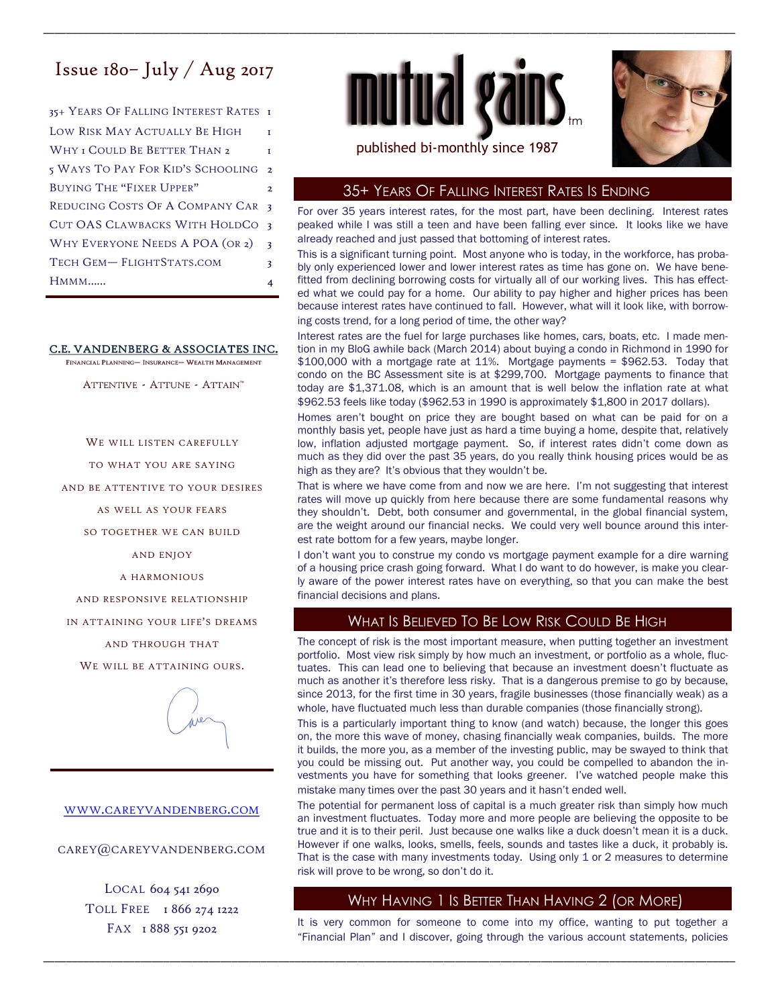# Issue  $180$ – July / Aug 2017

35+ YEARS OF FALLING INTEREST RATES 1 LOW RISK MAY ACTUALLY BE HIGH WHY I COULD BE BETTER THAN 2 5 WAYS TO PAY FOR KID'S SCHOOLING 2 BUYING THE "FIXER UPPER" 2 REDUCING COSTS OF A COMPANY CAR 3 HMMM…… 4 WHY EVERYONE NEEDS A POA (OR 2) TECH GEM-FLIGHTSTATS.COM 3 CUT OAS CLAWBACKS WITH HOLDCO 3

#### C.E. VANDENBERG & ASSOCIATES INC.

FINANCIAL PLANNING- INSURANCE- WEALTH MANAGEMENT

ATTENTIVE - ATTUNE - ATTAIN™

WE WILL LISTEN CAREFULLY

TO WHAT YOU ARE SAYING

AND BE ATTENTIVE TO YOUR DESIRES

AS WELL AS YOUR FEARS

SO TOGETHER WE CAN BUILD

AND ENJOY

A HARMONIOUS

AND RESPONSIVE RELATIONSHIP

IN ATTAINING YOUR LIFE'S DREAMS

AND THROUGH THAT

WE WILL BE ATTAINING OURS.



#### WWW.CAREYVANDENBERG.COM

CAREY@CAREYVANDENBERG.COM

LOCAL 604 541 2690 TOLL FREE 1866 274 1222 FAX 1 888 551 9202



\_\_\_\_\_\_\_\_\_\_\_\_\_\_\_\_\_\_\_\_\_\_\_\_\_\_\_\_\_\_\_\_\_\_\_\_\_\_\_\_\_\_\_\_\_\_\_\_\_\_\_\_\_\_\_\_\_\_\_\_\_\_\_\_\_\_\_\_\_\_\_\_\_\_\_\_\_\_\_\_\_\_\_\_\_\_\_\_\_\_\_\_\_\_\_\_\_\_\_\_\_\_\_\_\_\_\_\_\_\_\_\_\_\_\_\_\_\_\_\_\_



## 35+ YEARS OF FALLING INTEREST RATES IS ENDING

For over 35 years interest rates, for the most part, have been declining. Interest rates peaked while I was still a teen and have been falling ever since. It looks like we have already reached and just passed that bottoming of interest rates.

This is a significant turning point. Most anyone who is today, in the workforce, has probably only experienced lower and lower interest rates as time has gone on. We have benefitted from declining borrowing costs for virtually all of our working lives. This has effected what we could pay for a home. Our ability to pay higher and higher prices has been because interest rates have continued to fall. However, what will it look like, with borrowing costs trend, for a long period of time, the other way?

Interest rates are the fuel for large purchases like homes, cars, boats, etc. I made mention in my BloG awhile back (March 2014) about buying a condo in Richmond in 1990 for \$100,000 with a mortgage rate at 11%. Mortgage payments = \$962.53. Today that condo on the BC Assessment site is at \$299,700. Mortgage payments to finance that today are \$1,371.08, which is an amount that is well below the inflation rate at what \$962.53 feels like today (\$962.53 in 1990 is approximately \$1,800 in 2017 dollars).

Homes aren't bought on price they are bought based on what can be paid for on a monthly basis yet, people have just as hard a time buying a home, despite that, relatively low, inflation adjusted mortgage payment. So, if interest rates didn't come down as much as they did over the past 35 years, do you really think housing prices would be as high as they are? It's obvious that they wouldn't be.

That is where we have come from and now we are here. I'm not suggesting that interest rates will move up quickly from here because there are some fundamental reasons why they shouldn't. Debt, both consumer and governmental, in the global financial system, are the weight around our financial necks. We could very well bounce around this interest rate bottom for a few years, maybe longer.

I don't want you to construe my condo vs mortgage payment example for a dire warning of a housing price crash going forward. What I do want to do however, is make you clearly aware of the power interest rates have on everything, so that you can make the best financial decisions and plans.

# WHAT IS BELIEVED TO BE LOW RISK COULD BE HIGH

The concept of risk is the most important measure, when putting together an investment portfolio. Most view risk simply by how much an investment, or portfolio as a whole, fluctuates. This can lead one to believing that because an investment doesn't fluctuate as much as another it's therefore less risky. That is a dangerous premise to go by because, since 2013, for the first time in 30 years, fragile businesses (those financially weak) as a whole, have fluctuated much less than durable companies (those financially strong).

This is a particularly important thing to know (and watch) because, the longer this goes on, the more this wave of money, chasing financially weak companies, builds. The more it builds, the more you, as a member of the investing public, may be swayed to think that you could be missing out. Put another way, you could be compelled to abandon the investments you have for something that looks greener. I've watched people make this mistake many times over the past 30 years and it hasn't ended well.

The potential for permanent loss of capital is a much greater risk than simply how much an investment fluctuates. Today more and more people are believing the opposite to be true and it is to their peril. Just because one walks like a duck doesn't mean it is a duck. However if one walks, looks, smells, feels, sounds and tastes like a duck, it probably is. That is the case with many investments today. Using only 1 or 2 measures to determine risk will prove to be wrong, so don't do it.

# WHY HAVING 1 IS BETTER THAN HAVING 2 (OR MORE)

It is very common for someone to come into my office, wanting to put together a "Financial Plan" and I discover, going through the various account statements, policies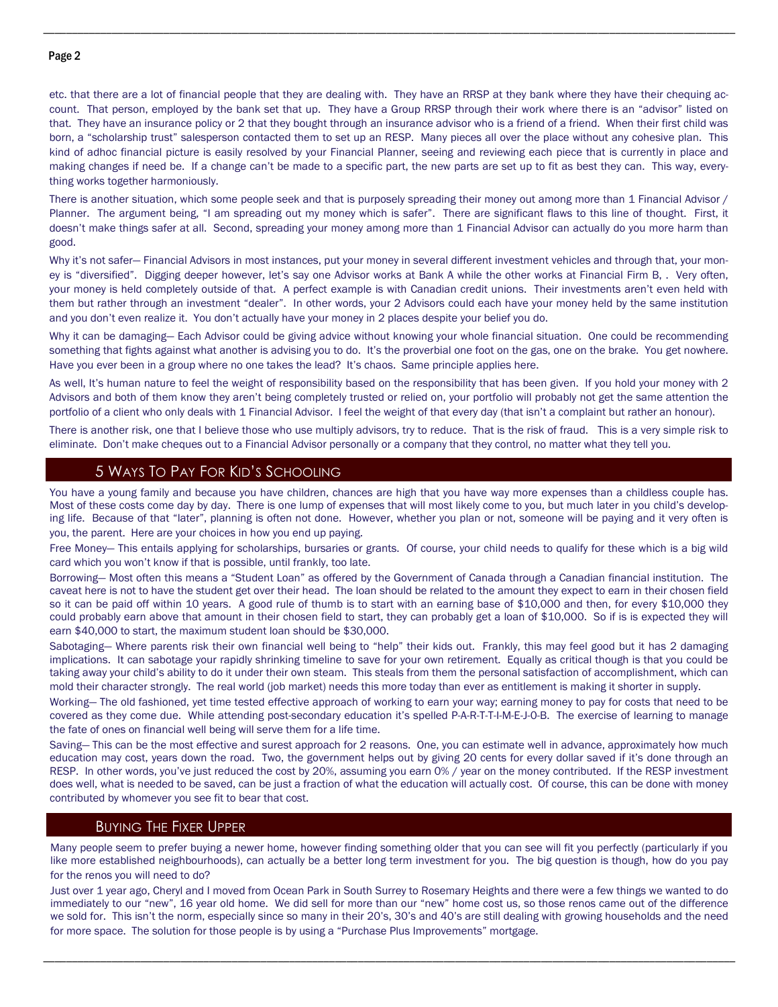#### Page 2

etc. that there are a lot of financial people that they are dealing with. They have an RRSP at they bank where they have their chequing account. That person, employed by the bank set that up. They have a Group RRSP through their work where there is an "advisor" listed on that. They have an insurance policy or 2 that they bought through an insurance advisor who is a friend of a friend. When their first child was born, a "scholarship trust" salesperson contacted them to set up an RESP. Many pieces all over the place without any cohesive plan. This kind of adhoc financial picture is easily resolved by your Financial Planner, seeing and reviewing each piece that is currently in place and making changes if need be. If a change can't be made to a specific part, the new parts are set up to fit as best they can. This way, everything works together harmoniously.

\_\_\_\_\_\_\_\_\_\_\_\_\_\_\_\_\_\_\_\_\_\_\_\_\_\_\_\_\_\_\_\_\_\_\_\_\_\_\_\_\_\_\_\_\_\_\_\_\_\_\_\_\_\_\_\_\_\_\_\_\_\_\_\_\_\_\_\_\_\_\_\_\_\_\_\_\_\_\_\_\_\_\_\_\_\_\_\_\_\_\_\_\_\_\_\_\_\_\_\_\_\_\_\_\_\_\_\_\_\_\_\_\_\_\_\_\_\_\_\_\_

There is another situation, which some people seek and that is purposely spreading their money out among more than 1 Financial Advisor / Planner. The argument being, "I am spreading out my money which is safer". There are significant flaws to this line of thought. First, it doesn't make things safer at all. Second, spreading your money among more than 1 Financial Advisor can actually do you more harm than good.

Why it's not safer— Financial Advisors in most instances, put your money in several different investment vehicles and through that, your money is "diversified". Digging deeper however, let's say one Advisor works at Bank A while the other works at Financial Firm B, . Very often, your money is held completely outside of that. A perfect example is with Canadian credit unions. Their investments aren't even held with them but rather through an investment "dealer". In other words, your 2 Advisors could each have your money held by the same institution and you don't even realize it. You don't actually have your money in 2 places despite your belief you do.

Why it can be damaging— Each Advisor could be giving advice without knowing your whole financial situation. One could be recommending something that fights against what another is advising you to do. It's the proverbial one foot on the gas, one on the brake. You get nowhere. Have you ever been in a group where no one takes the lead? It's chaos. Same principle applies here.

As well, It's human nature to feel the weight of responsibility based on the responsibility that has been given. If you hold your money with 2 Advisors and both of them know they aren't being completely trusted or relied on, your portfolio will probably not get the same attention the portfolio of a client who only deals with 1 Financial Advisor. I feel the weight of that every day (that isn't a complaint but rather an honour).

There is another risk, one that I believe those who use multiply advisors, try to reduce. That is the risk of fraud. This is a very simple risk to eliminate. Don't make cheques out to a Financial Advisor personally or a company that they control, no matter what they tell you.

## 5 WAYS TO PAY FOR KID'S SCHOOLING

You have a young family and because you have children, chances are high that you have way more expenses than a childless couple has. Most of these costs come day by day. There is one lump of expenses that will most likely come to you, but much later in you child's developing life. Because of that "later", planning is often not done. However, whether you plan or not, someone will be paying and it very often is you, the parent. Here are your choices in how you end up paying.

Free Money— This entails applying for scholarships, bursaries or grants. Of course, your child needs to qualify for these which is a big wild card which you won't know if that is possible, until frankly, too late.

Borrowing— Most often this means a "Student Loan" as offered by the Government of Canada through a Canadian financial institution. The caveat here is not to have the student get over their head. The loan should be related to the amount they expect to earn in their chosen field so it can be paid off within 10 years. A good rule of thumb is to start with an earning base of \$10,000 and then, for every \$10,000 they could probably earn above that amount in their chosen field to start, they can probably get a loan of \$10,000. So if is is expected they will earn \$40,000 to start, the maximum student loan should be \$30,000.

Sabotaging— Where parents risk their own financial well being to "help" their kids out. Frankly, this may feel good but it has 2 damaging implications. It can sabotage your rapidly shrinking timeline to save for your own retirement. Equally as critical though is that you could be taking away your child's ability to do it under their own steam. This steals from them the personal satisfaction of accomplishment, which can mold their character strongly. The real world (job market) needs this more today than ever as entitlement is making it shorter in supply.

Working— The old fashioned, yet time tested effective approach of working to earn your way; earning money to pay for costs that need to be covered as they come due. While attending post-secondary education it's spelled P-A-R-T-T-I-M-E-J-0-B. The exercise of learning to manage the fate of ones on financial well being will serve them for a life time.

Saving— This can be the most effective and surest approach for 2 reasons. One, you can estimate well in advance, approximately how much education may cost, years down the road. Two, the government helps out by giving 20 cents for every dollar saved if it's done through an RESP. In other words, you've just reduced the cost by 20%, assuming you earn 0% / year on the money contributed. If the RESP investment does well, what is needed to be saved, can be just a fraction of what the education will actually cost. Of course, this can be done with money contributed by whomever you see fit to bear that cost.

#### BUYING THE FIXER UPPER

Many people seem to prefer buying a newer home, however finding something older that you can see will fit you perfectly (particularly if you like more established neighbourhoods), can actually be a better long term investment for you. The big question is though, how do you pay for the renos you will need to do?

Just over 1 year ago, Cheryl and I moved from Ocean Park in South Surrey to Rosemary Heights and there were a few things we wanted to do immediately to our "new", 16 year old home. We did sell for more than our "new" home cost us, so those renos came out of the difference we sold for. This isn't the norm, especially since so many in their 20's, 30's and 40's are still dealing with growing households and the need for more space. The solution for those people is by using a "Purchase Plus Improvements" mortgage.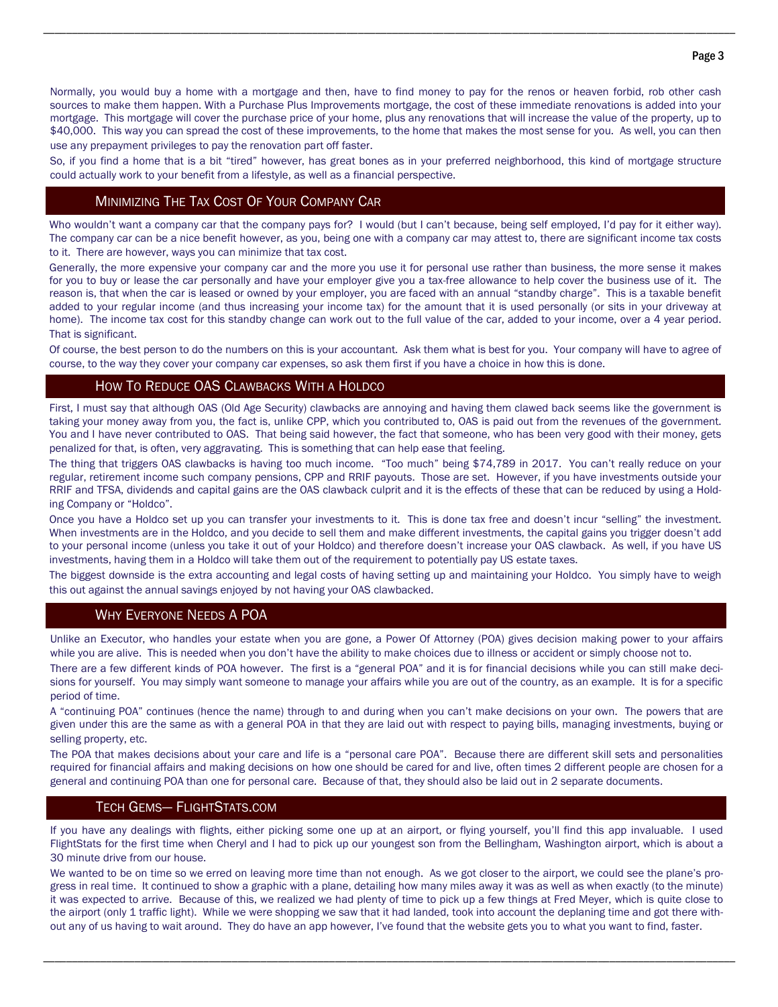Normally, you would buy a home with a mortgage and then, have to find money to pay for the renos or heaven forbid, rob other cash sources to make them happen. With a Purchase Plus Improvements mortgage, the cost of these immediate renovations is added into your mortgage. This mortgage will cover the purchase price of your home, plus any renovations that will increase the value of the property, up to \$40,000. This way you can spread the cost of these improvements, to the home that makes the most sense for you. As well, you can then use any prepayment privileges to pay the renovation part off faster.

\_\_\_\_\_\_\_\_\_\_\_\_\_\_\_\_\_\_\_\_\_\_\_\_\_\_\_\_\_\_\_\_\_\_\_\_\_\_\_\_\_\_\_\_\_\_\_\_\_\_\_\_\_\_\_\_\_\_\_\_\_\_\_\_\_\_\_\_\_\_\_\_\_\_\_\_\_\_\_\_\_\_\_\_\_\_\_\_\_\_\_\_\_\_\_\_\_\_\_\_\_\_\_\_\_\_\_\_\_\_\_\_\_\_\_\_\_\_\_\_\_

So, if you find a home that is a bit "tired" however, has great bones as in your preferred neighborhood, this kind of mortgage structure could actually work to your benefit from a lifestyle, as well as a financial perspective.

# MINIMIZING THE TAX COST OF YOUR COMPANY CAR

Who wouldn't want a company car that the company pays for? I would (but I can't because, being self employed, I'd pay for it either way). The company car can be a nice benefit however, as you, being one with a company car may attest to, there are significant income tax costs to it. There are however, ways you can minimize that tax cost.

Generally, the more expensive your company car and the more you use it for personal use rather than business, the more sense it makes for you to buy or lease the car personally and have your employer give you a tax-free allowance to help cover the business use of it. The reason is, that when the car is leased or owned by your employer, you are faced with an annual "standby charge". This is a taxable benefit added to your regular income (and thus increasing your income tax) for the amount that it is used personally (or sits in your driveway at home). The income tax cost for this standby change can work out to the full value of the car, added to your income, over a 4 year period. That is significant.

Of course, the best person to do the numbers on this is your accountant. Ask them what is best for you. Your company will have to agree of course, to the way they cover your company car expenses, so ask them first if you have a choice in how this is done.

# HOW TO REDUCE OAS CLAWBACKS WITH A HOLDCO

First, I must say that although OAS (Old Age Security) clawbacks are annoying and having them clawed back seems like the government is taking your money away from you, the fact is, unlike CPP, which you contributed to, OAS is paid out from the revenues of the government. You and I have never contributed to OAS. That being said however, the fact that someone, who has been very good with their money, gets penalized for that, is often, very aggravating. This is something that can help ease that feeling.

The thing that triggers OAS clawbacks is having too much income. "Too much" being \$74,789 in 2017. You can't really reduce on your regular, retirement income such company pensions, CPP and RRIF payouts. Those are set. However, if you have investments outside your RRIF and TFSA, dividends and capital gains are the OAS clawback culprit and it is the effects of these that can be reduced by using a Holding Company or "Holdco".

Once you have a Holdco set up you can transfer your investments to it. This is done tax free and doesn't incur "selling" the investment. When investments are in the Holdco, and you decide to sell them and make different investments, the capital gains you trigger doesn't add to your personal income (unless you take it out of your Holdco) and therefore doesn't increase your OAS clawback. As well, if you have US investments, having them in a Holdco will take them out of the requirement to potentially pay US estate taxes.

The biggest downside is the extra accounting and legal costs of having setting up and maintaining your Holdco. You simply have to weigh this out against the annual savings enjoyed by not having your OAS clawbacked.

# WHY EVERYONE NEEDS A POA

Unlike an Executor, who handles your estate when you are gone, a Power Of Attorney (POA) gives decision making power to your affairs while you are alive. This is needed when you don't have the ability to make choices due to illness or accident or simply choose not to.

There are a few different kinds of POA however. The first is a "general POA" and it is for financial decisions while you can still make decisions for yourself. You may simply want someone to manage your affairs while you are out of the country, as an example. It is for a specific period of time.

A "continuing POA" continues (hence the name) through to and during when you can't make decisions on your own. The powers that are given under this are the same as with a general POA in that they are laid out with respect to paying bills, managing investments, buying or selling property, etc.

The POA that makes decisions about your care and life is a "personal care POA". Because there are different skill sets and personalities required for financial affairs and making decisions on how one should be cared for and live, often times 2 different people are chosen for a general and continuing POA than one for personal care. Because of that, they should also be laid out in 2 separate documents.

#### TECH GEMS— FLIGHTSTATS.COM

If you have any dealings with flights, either picking some one up at an airport, or flying yourself, you'll find this app invaluable. I used FlightStats for the first time when Cheryl and I had to pick up our youngest son from the Bellingham, Washington airport, which is about a 30 minute drive from our house.

We wanted to be on time so we erred on leaving more time than not enough. As we got closer to the airport, we could see the plane's progress in real time. It continued to show a graphic with a plane, detailing how many miles away it was as well as when exactly (to the minute) it was expected to arrive. Because of this, we realized we had plenty of time to pick up a few things at Fred Meyer, which is quite close to the airport (only 1 traffic light). While we were shopping we saw that it had landed, took into account the deplaning time and got there without any of us having to wait around. They do have an app however, I've found that the website gets you to what you want to find, faster.